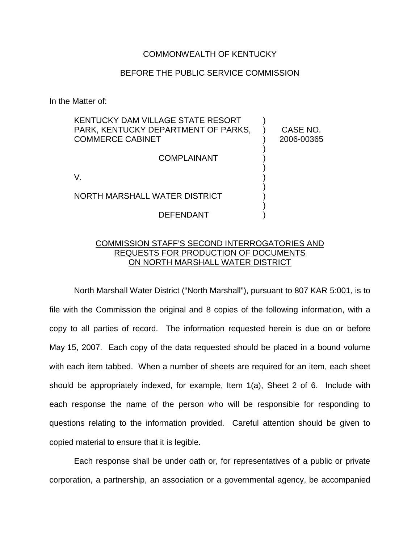## COMMONWEALTH OF KENTUCKY

## BEFORE THE PUBLIC SERVICE COMMISSION

In the Matter of:

| KENTUCKY DAM VILLAGE STATE RESORT<br>PARK, KENTUCKY DEPARTMENT OF PARKS.<br><b>COMMERCE CABINET</b> | CASE NO.<br>2006-00365 |
|-----------------------------------------------------------------------------------------------------|------------------------|
| <b>COMPLAINANT</b>                                                                                  |                        |
|                                                                                                     |                        |
| NORTH MARSHALL WATER DISTRICT                                                                       |                        |
| DEFENDANT                                                                                           |                        |

## COMMISSION STAFF'S SECOND INTERROGATORIES AND REQUESTS FOR PRODUCTION OF DOCUMENTS ON NORTH MARSHALL WATER DISTRICT

North Marshall Water District ("North Marshall"), pursuant to 807 KAR 5:001, is to file with the Commission the original and 8 copies of the following information, with a copy to all parties of record. The information requested herein is due on or before May 15, 2007. Each copy of the data requested should be placed in a bound volume with each item tabbed. When a number of sheets are required for an item, each sheet should be appropriately indexed, for example, Item 1(a), Sheet 2 of 6. Include with each response the name of the person who will be responsible for responding to questions relating to the information provided. Careful attention should be given to copied material to ensure that it is legible.

Each response shall be under oath or, for representatives of a public or private corporation, a partnership, an association or a governmental agency, be accompanied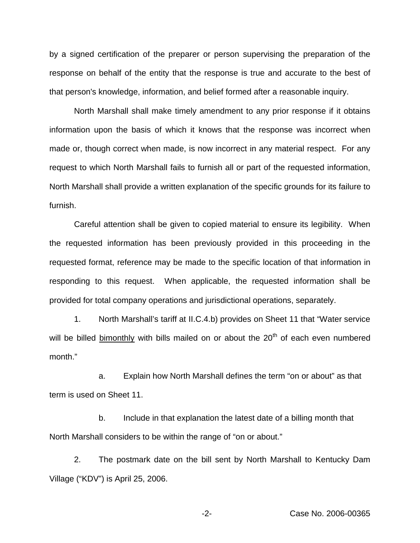by a signed certification of the preparer or person supervising the preparation of the response on behalf of the entity that the response is true and accurate to the best of that person's knowledge, information, and belief formed after a reasonable inquiry.

North Marshall shall make timely amendment to any prior response if it obtains information upon the basis of which it knows that the response was incorrect when made or, though correct when made, is now incorrect in any material respect. For any request to which North Marshall fails to furnish all or part of the requested information, North Marshall shall provide a written explanation of the specific grounds for its failure to furnish.

Careful attention shall be given to copied material to ensure its legibility. When the requested information has been previously provided in this proceeding in the requested format, reference may be made to the specific location of that information in responding to this request. When applicable, the requested information shall be provided for total company operations and jurisdictional operations, separately.

1. North Marshall's tariff at II.C.4.b) provides on Sheet 11 that "Water service will be billed bimonthly with bills mailed on or about the  $20<sup>th</sup>$  of each even numbered month."

a. Explain how North Marshall defines the term "on or about" as that term is used on Sheet 11.

b. Include in that explanation the latest date of a billing month that North Marshall considers to be within the range of "on or about."

2. The postmark date on the bill sent by North Marshall to Kentucky Dam Village ("KDV") is April 25, 2006.

-2- Case No. 2006-00365